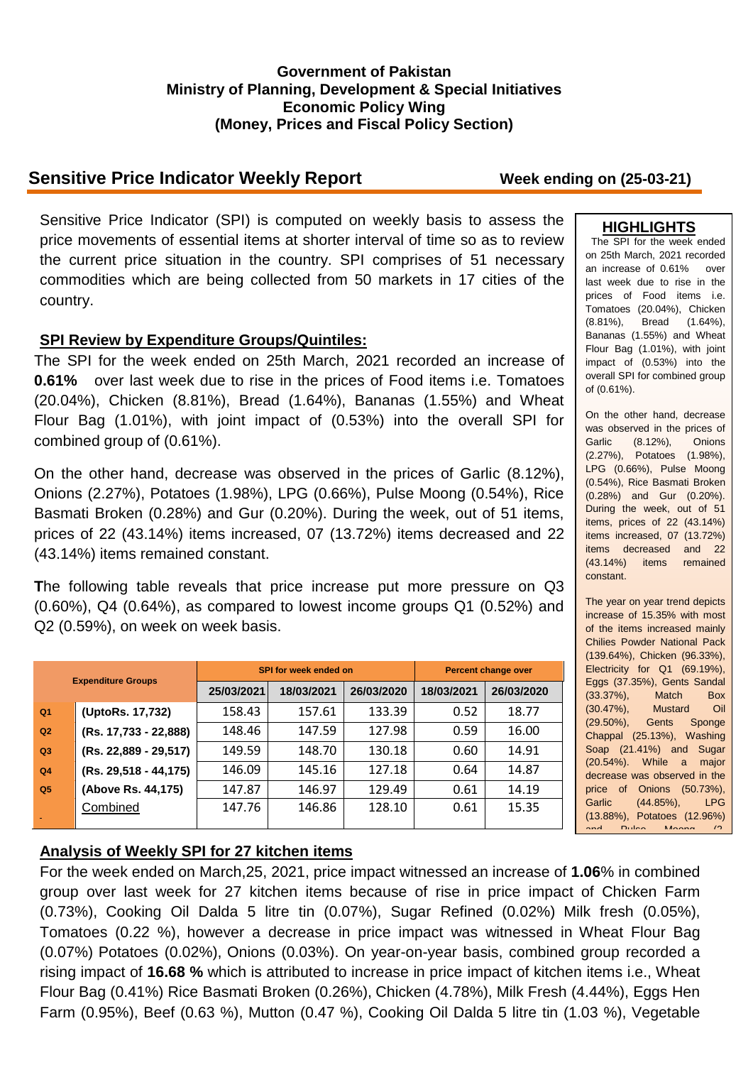### **Government of Pakistan Ministry of Planning, Development & Special Initiatives Economic Policy Wing (Money, Prices and Fiscal Policy Section)**

# **Sensitive Price Indicator Weekly Report Week ending on (25-03-21)**

Sensitive Price Indicator (SPI) is computed on weekly basis to assess the price movements of essential items at shorter interval of time so as to review the current price situation in the country. SPI comprises of 51 necessary commodities which are being collected from 50 markets in 17 cities of the country.

## **SPI Review by Expenditure Groups/Quintiles:**

The SPI for the week ended on 25th March, 2021 recorded an increase of **0.61%** over last week due to rise in the prices of Food items i.e. Tomatoes (20.04%), Chicken (8.81%), Bread (1.64%), Bananas (1.55%) and Wheat Flour Bag (1.01%), with joint impact of (0.53%) into the overall SPI for combined group of (0.61%).

On the other hand, decrease was observed in the prices of Garlic (8.12%), Onions (2.27%), Potatoes (1.98%), LPG (0.66%), Pulse Moong (0.54%), Rice Basmati Broken (0.28%) and Gur (0.20%). During the week, out of 51 items, prices of 22 (43.14%) items increased, 07 (13.72%) items decreased and 22 (43.14%) items remained constant.

**T**he following table reveals that price increase put more pressure on Q3 (0.60%), Q4 (0.64%), as compared to lowest income groups Q1 (0.52%) and Q2 (0.59%), on week on week basis.

| <b>Expenditure Groups</b> |                       |            | SPI for week ended on | Percent change over |            |            |
|---------------------------|-----------------------|------------|-----------------------|---------------------|------------|------------|
|                           |                       | 25/03/2021 | 18/03/2021            | 26/03/2020          | 18/03/2021 | 26/03/2020 |
| Q <sub>1</sub>            | (UptoRs. 17,732)      | 158.43     | 157.61                | 133.39              | 0.52       | 18.77      |
| Q2                        | (Rs. 17,733 - 22,888) | 148.46     | 147.59                | 127.98              | 0.59       | 16.00      |
| Q3                        | (Rs. 22,889 - 29,517) | 149.59     | 148.70                | 130.18              | 0.60       | 14.91      |
| Q <sub>4</sub>            | (Rs. 29,518 - 44,175) | 146.09     | 145.16                | 127.18              | 0.64       | 14.87      |
| Q <sub>5</sub>            | (Above Rs. 44,175)    | 147.87     | 146.97                | 129.49              | 0.61       | 14.19      |
|                           | Combined              | 147.76     | 146.86                | 128.10              | 0.61       | 15.35      |

# **HIGHLIGHTS**

The SPI for the week ended on 25th March, 2021 recorded an increase of 0.61% over last week due to rise in the prices of Food items i.e. Tomatoes (20.04%), Chicken (8.81%), Bread (1.64%), Bananas (1.55%) and Wheat Flour Bag (1.01%), with joint impact of (0.53%) into the overall SPI for combined group of (0.61%).

On the other hand, decrease was observed in the prices of Garlic (8.12%), Onions (2.27%), Potatoes (1.98%), LPG (0.66%), Pulse Moong (0.54%), Rice Basmati Broken (0.28%) and Gur (0.20%). During the week, out of 51 items, prices of 22 (43.14%) items increased, 07 (13.72%) items decreased and 22 (43.14%) items remained constant.

The year on year trend depicts increase of 15.35% with most of the items increased mainly Chilies Powder National Pack (139.64%), Chicken (96.33%), Electricity for Q1 (69.19%), Eggs (37.35%), Gents Sandal (33.37%), Match Box (30.47%), Mustard Oil Gents Sponge Chappal (25.13%), Washing Soap (21.41%) and Sugar (20.54%). While a major decrease was observed in the price of Onions (50.73%), Garlic (44.85%), LPG (13.88%), Potatoes (12.96%) and <sup>2</sup>

# **Analysis of Weekly SPI for 27 kitchen items**

For the week ended on March,25, 2021, price impact witnessed an increase of **1.06**% in combined group over last week for 27 kitchen items because of rise in price impact of Chicken Farm (0.73%), Cooking Oil Dalda 5 litre tin (0.07%), Sugar Refined (0.02%) Milk fresh (0.05%), Tomatoes (0.22 %), however a decrease in price impact was witnessed in Wheat Flour Bag (0.07%) Potatoes (0.02%), Onions (0.03%). On year-on-year basis, combined group recorded a rising impact of **16.68 %** which is attributed to increase in price impact of kitchen items i.e., Wheat Flour Bag (0.41%) Rice Basmati Broken (0.26%), Chicken (4.78%), Milk Fresh (4.44%), Eggs Hen Farm (0.95%), Beef (0.63 %), Mutton (0.47 %), Cooking Oil Dalda 5 litre tin (1.03 %), Vegetable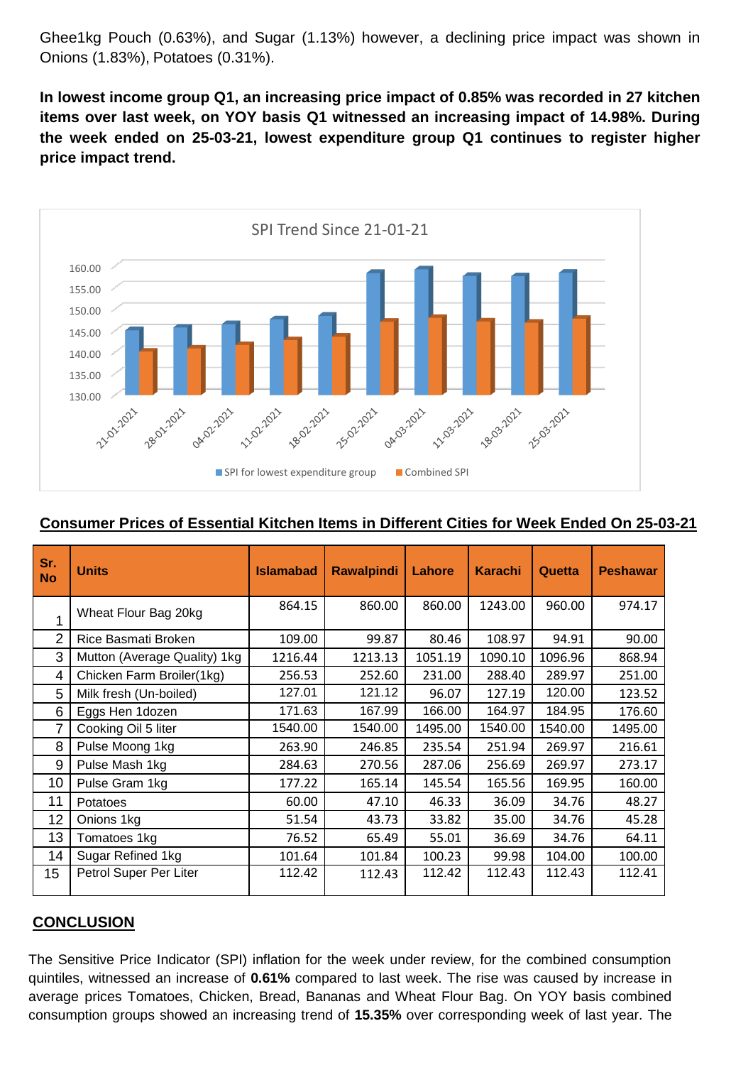Ghee1kg Pouch (0.63%), and Sugar (1.13%) however, a declining price impact was shown in Onions (1.83%), Potatoes (0.31%).

**In lowest income group Q1, an increasing price impact of 0.85% was recorded in 27 kitchen items over last week, on YOY basis Q1 witnessed an increasing impact of 14.98%. During the week ended on 25-03-21, lowest expenditure group Q1 continues to register higher price impact trend.**



#### **Consumer Prices of Essential Kitchen Items in Different Cities for Week Ended On 25-03-21**

| Sr.<br><b>No</b> | <b>Units</b>                 | <b>Islamabad</b> | <b>Rawalpindi</b> | Lahore  | <b>Karachi</b> | Quetta  | <b>Peshawar</b> |
|------------------|------------------------------|------------------|-------------------|---------|----------------|---------|-----------------|
|                  | Wheat Flour Bag 20kg         | 864.15           | 860.00            | 860.00  | 1243.00        | 960.00  | 974.17          |
| 2                | Rice Basmati Broken          | 109.00           | 99.87             | 80.46   | 108.97         | 94.91   | 90.00           |
| 3                | Mutton (Average Quality) 1kg | 1216.44          | 1213.13           | 1051.19 | 1090.10        | 1096.96 | 868.94          |
| 4                | Chicken Farm Broiler(1kg)    | 256.53           | 252.60            | 231.00  | 288.40         | 289.97  | 251.00          |
| 5                | Milk fresh (Un-boiled)       | 127.01           | 121.12            | 96.07   | 127.19         | 120.00  | 123.52          |
| 6                | Eggs Hen 1dozen              | 171.63           | 167.99            | 166.00  | 164.97         | 184.95  | 176.60          |
| 7                | Cooking Oil 5 liter          | 1540.00          | 1540.00           | 1495.00 | 1540.00        | 1540.00 | 1495.00         |
| 8                | Pulse Moong 1kg              | 263.90           | 246.85            | 235.54  | 251.94         | 269.97  | 216.61          |
| 9                | Pulse Mash 1kg               | 284.63           | 270.56            | 287.06  | 256.69         | 269.97  | 273.17          |
| 10               | Pulse Gram 1kg               | 177.22           | 165.14            | 145.54  | 165.56         | 169.95  | 160.00          |
| 11               | Potatoes                     | 60.00            | 47.10             | 46.33   | 36.09          | 34.76   | 48.27           |
| 12               | Onions 1kg                   | 51.54            | 43.73             | 33.82   | 35.00          | 34.76   | 45.28           |
| 13               | Tomatoes 1kg                 | 76.52            | 65.49             | 55.01   | 36.69          | 34.76   | 64.11           |
| 14               | Sugar Refined 1kg            | 101.64           | 101.84            | 100.23  | 99.98          | 104.00  | 100.00          |
| 15 <sub>15</sub> | Petrol Super Per Liter       | 112.42           | 112.43            | 112.42  | 112.43         | 112.43  | 112.41          |

## **CONCLUSION**

The Sensitive Price Indicator (SPI) inflation for the week under review, for the combined consumption quintiles, witnessed an increase of **0.61%** compared to last week. The rise was caused by increase in average prices Tomatoes, Chicken, Bread, Bananas and Wheat Flour Bag. On YOY basis combined consumption groups showed an increasing trend of **15.35%** over corresponding week of last year. The